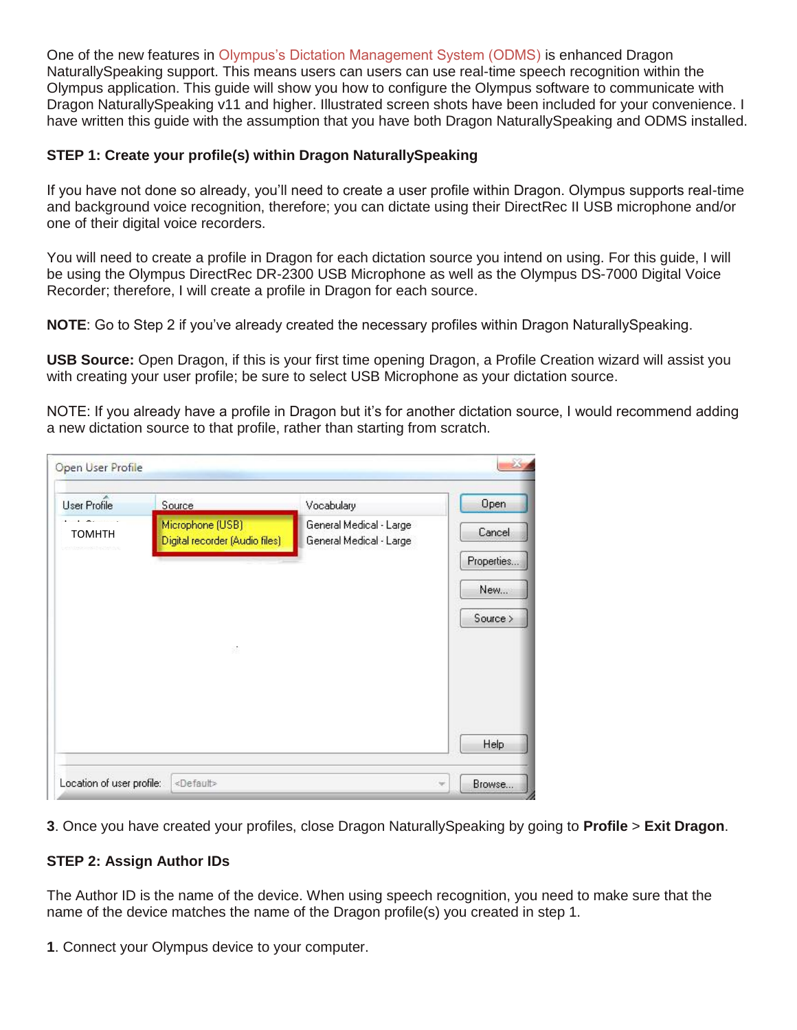One of the new features in Olympus's Dictation Management System (ODMS) is enhanced Dragon NaturallySpeaking support. This means users can users can use real-time speech recognition within the Olympus application. This guide will show you how to configure the Olympus software to communicate with Dragon NaturallySpeaking v11 and higher. Illustrated screen shots have been included for your convenience. I have written this guide with the assumption that you have both Dragon NaturallySpeaking and ODMS installed.

## **STEP 1: Create your profile(s) within Dragon NaturallySpeaking**

If you have not done so already, you'll need to create a user profile within Dragon. Olympus supports real-time and background voice recognition, therefore; you can dictate using their DirectRec II USB microphone and/or one of their digital voice recorders.

You will need to create a profile in Dragon for each dictation source you intend on using. For this guide, I will be using the Olympus DirectRec DR-2300 USB Microphone as well as the Olympus DS-7000 Digital Voice Recorder; therefore, I will create a profile in Dragon for each source.

**NOTE**: Go to Step 2 if you've already created the necessary profiles within Dragon NaturallySpeaking.

**USB Source:** Open Dragon, if this is your first time opening Dragon, a Profile Creation wizard will assist you with creating your user profile; be sure to select USB Microphone as your dictation source.

NOTE: If you already have a profile in Dragon but it's for another dictation source, I would recommend adding a new dictation source to that profile, rather than starting from scratch.

| <b>User Profile</b> | Source                                             | Vocabulary                                         | Open        |
|---------------------|----------------------------------------------------|----------------------------------------------------|-------------|
| <b>TOMHTH</b>       | Microphone (USB)<br>Digital recorder (Audio files) | General Medical - Large<br>General Medical - Large | Cancel      |
|                     |                                                    |                                                    | Properties. |
|                     |                                                    |                                                    | New         |
|                     |                                                    |                                                    | Source >    |
|                     | 88                                                 |                                                    |             |
|                     |                                                    |                                                    |             |
|                     |                                                    |                                                    |             |
|                     |                                                    |                                                    |             |
|                     |                                                    |                                                    | Help        |

**3**. Once you have created your profiles, close Dragon NaturallySpeaking by going to **Profile** > **Exit Dragon**.

## **STEP 2: Assign Author IDs**

The Author ID is the name of the device. When using speech recognition, you need to make sure that the name of the device matches the name of the Dragon profile(s) you created in step 1.

**1**. Connect your Olympus device to your computer.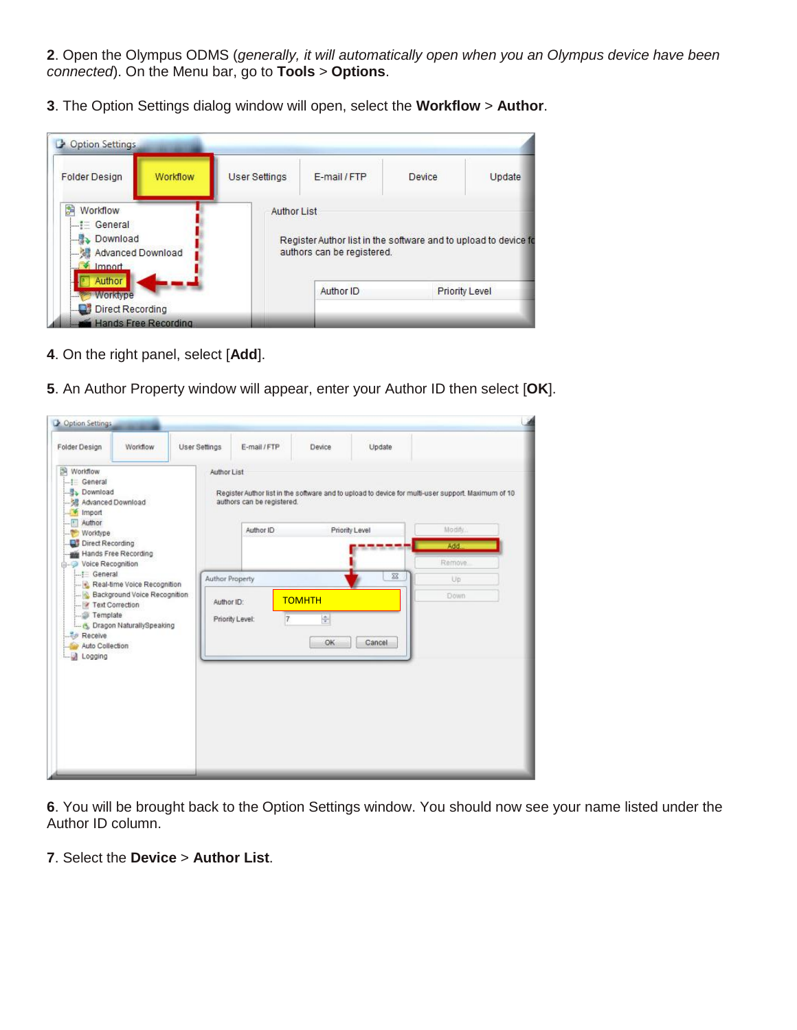. Open the Olympus ODMS (*generally, it will automatically open when you an Olympus device have been connected*). On the Menu bar, go to **Tools** > **Options**.

. The Option Settings dialog window will open, select the **Workflow** > **Author**.

| <b>Folder Design</b>                                                                                   | Workflow | <b>User Settings</b> | E-mail / FTP                                                                                  | Device | Update |
|--------------------------------------------------------------------------------------------------------|----------|----------------------|-----------------------------------------------------------------------------------------------|--------|--------|
| 鷜<br>Workflow<br>$\left  \right  =$ General<br>Download<br><b>M</b> Advanced Download<br>$\Box$ Import |          | <b>Author List</b>   | Register Author list in the software and to upload to device fo<br>authors can be registered. |        |        |
| Author                                                                                                 |          |                      |                                                                                               |        |        |

- . On the right panel, select [**Add**].
- . An Author Property window will appear, enter your Author ID then select [**OK**].

| Folder Design<br>Worldlow<br>-- General<br><b>L. Lownload</b><br>-- 健 Advanced Download | Workflow                        |                        | User Settings<br>Author List | E-mail/FTP<br>authors can be registered. | Device   | Update         | Register Author list in the software and to upload to device for multi-user support. Maximum of 10 |
|-----------------------------------------------------------------------------------------|---------------------------------|------------------------|------------------------------|------------------------------------------|----------|----------------|----------------------------------------------------------------------------------------------------|
| Import<br>-- Author<br>Worktype<br>Direct Recording                                     |                                 |                        |                              | Author ID                                |          | Priority Level | Modify.<br>Add                                                                                     |
| Hands Free Recording<br>Voice Recognition                                               |                                 |                        |                              |                                          |          | ---            | Remove.                                                                                            |
| Real-time Voice Recognition<br>Background Voice Recognition<br>- P Text Correction      |                                 | <b>Author Property</b> |                              |                                          | $\Sigma$ | Up             |                                                                                                    |
|                                                                                         |                                 | Author ID:             |                              | <b>TOMHTH</b>                            |          | Down           |                                                                                                    |
| <b>Semplate</b><br><b>Receive</b><br>Auto Collection<br>Logging                         | L. (S. Dragon NaturallySpeaking |                        |                              | Priority Level:                          | ÷<br>OK  | Cancel         |                                                                                                    |
|                                                                                         |                                 |                        |                              |                                          |          |                |                                                                                                    |
|                                                                                         |                                 |                        |                              |                                          |          |                |                                                                                                    |
|                                                                                         |                                 |                        |                              |                                          |          |                |                                                                                                    |
|                                                                                         |                                 |                        |                              |                                          |          |                |                                                                                                    |

. You will be brought back to the Option Settings window. You should now see your name listed under the Author ID column.

. Select the **Device** > **Author List**.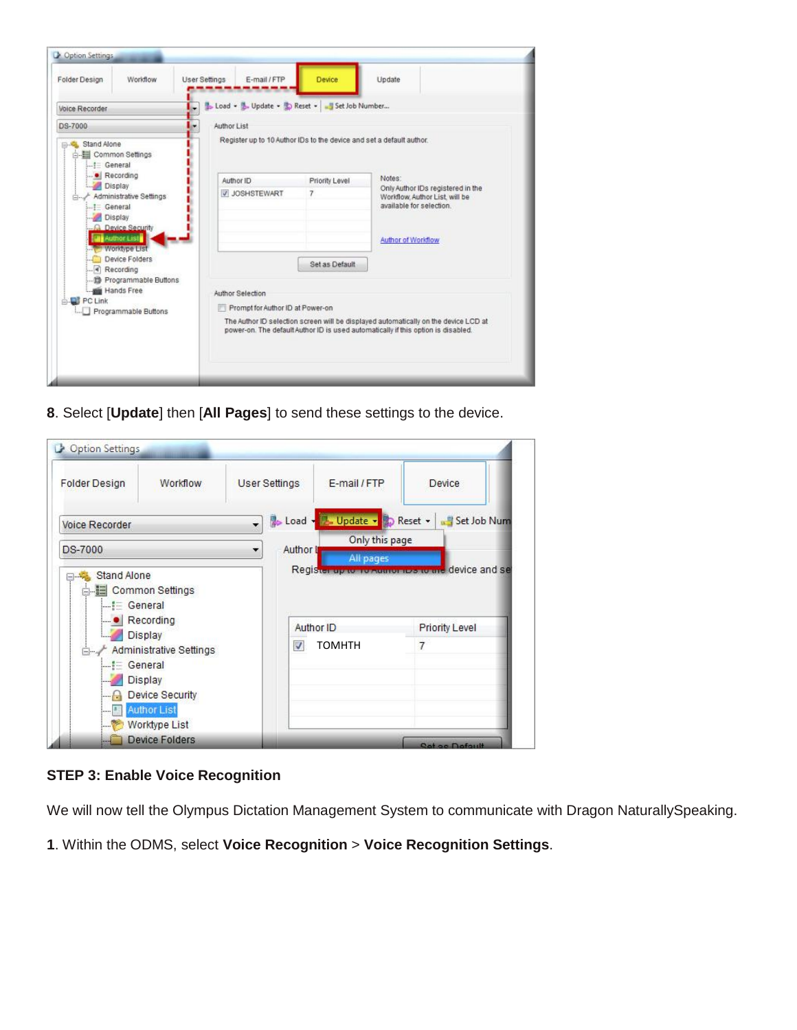

**8**. Select [**Update**] then [**All Pages**] to send these settings to the device.

| <b>Folder Design</b>                                       | Workflow                                                | <b>User Settings</b> |           | E-mail / FTP                | Device                |
|------------------------------------------------------------|---------------------------------------------------------|----------------------|-----------|-----------------------------|-----------------------|
| Voice Recorder                                             |                                                         | ٠                    |           | Load Lupdate B Reset -      | Set Job Num           |
| <b>DS-7000</b>                                             |                                                         | ۰                    | Author II | Only this page<br>All pages |                       |
|                                                            |                                                         |                      |           |                             |                       |
| $\blacksquare$ Recording                                   |                                                         |                      |           | Author ID                   | <b>Priority Level</b> |
| Display<br>$\blacksquare :=$ General                       | Administrative Settings                                 |                      | √         | <b>TOMHTH</b>               | $\overline{7}$        |
| <b>Contract of the State</b><br><b>Service</b><br>$-1 - 8$ | <b>Display</b><br>Device Security<br><b>Author List</b> |                      |           |                             |                       |

## **STEP 3: Enable Voice Recognition**

We will now tell the Olympus Dictation Management System to communicate with Dragon NaturallySpeaking.

**1**. Within the ODMS, select **Voice Recognition** > **Voice Recognition Settings**.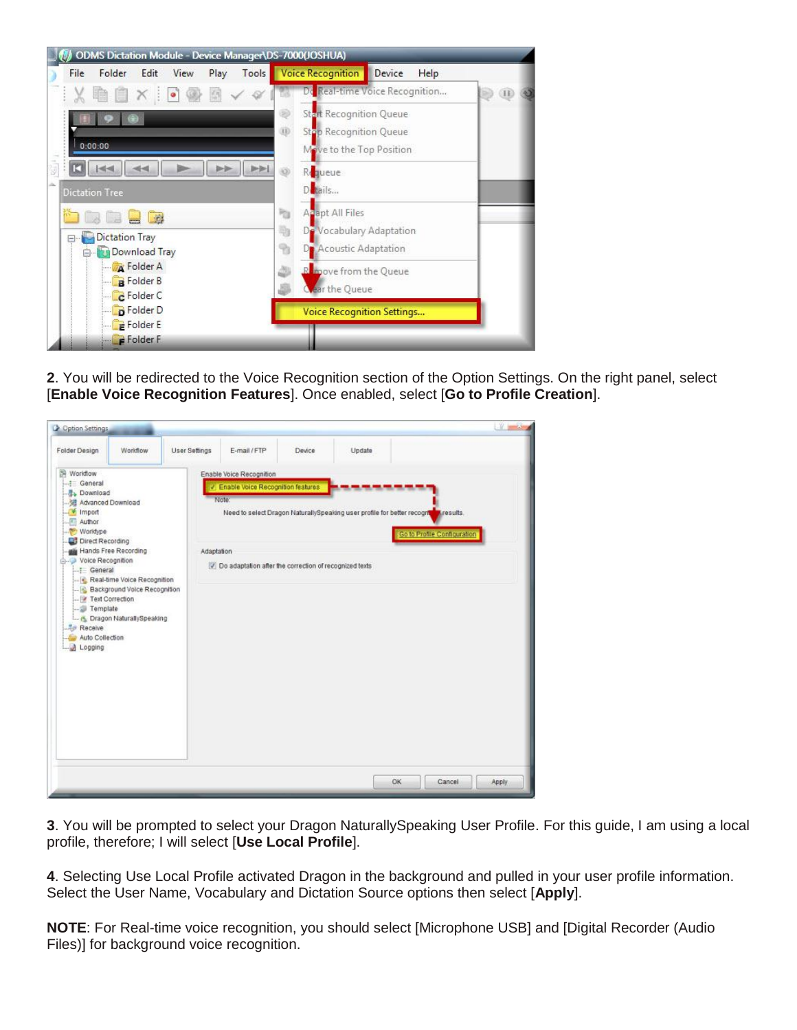

**2**. You will be redirected to the Voice Recognition section of the Option Settings. On the right panel, select [**Enable Voice Recognition Features**]. Once enabled, select [**Go to Profile Creation**].

**3**. You will be prompted to select your Dragon NaturallySpeaking User Profile. For this guide, I am using a local profile, therefore; I will select [**Use Local Profile**].

**4**. Selecting Use Local Profile activated Dragon in the background and pulled in your user profile information. Select the User Name, Vocabulary and Dictation Source options then select [**Apply**].

**NOTE**: For Real-time voice recognition, you should select [Microphone USB] and [Digital Recorder (Audio Files)] for background voice recognition.